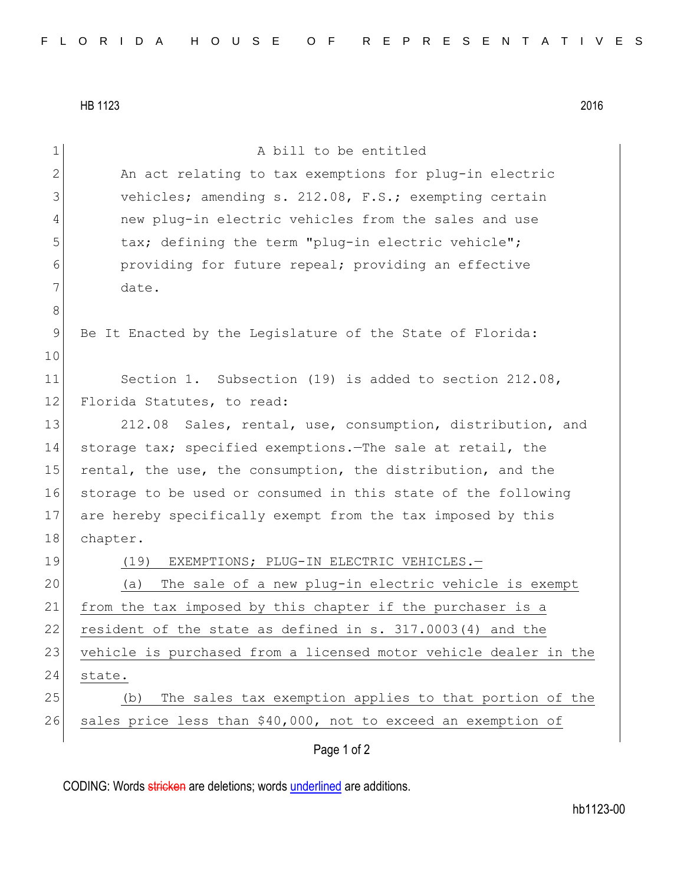HB 1123 2016

CODING: Words stricken are deletions; words underlined are additions.